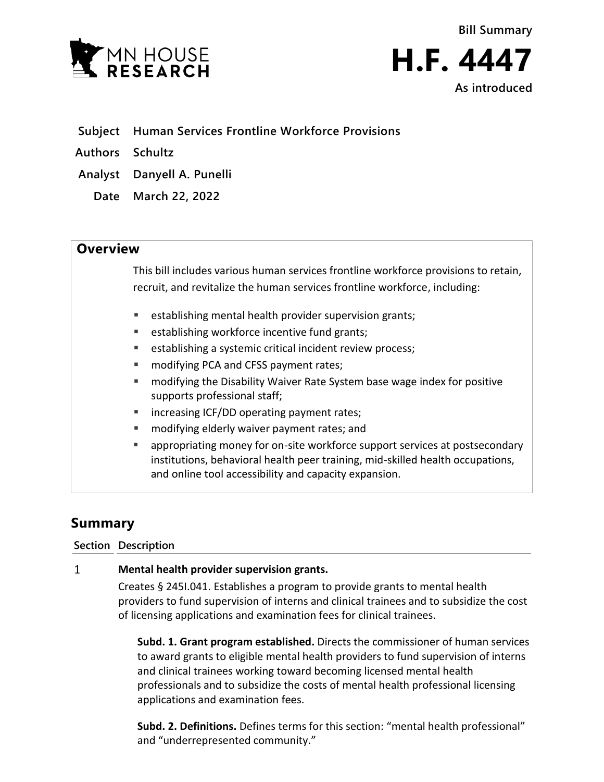

**As introduced**

- **Subject Human Services Frontline Workforce Provisions**
- **Authors Schultz**
- **Analyst Danyell A. Punelli**
	- **Date March 22, 2022**

## **Overview**

This bill includes various human services frontline workforce provisions to retain, recruit, and revitalize the human services frontline workforce, including:

- establishing mental health provider supervision grants;
- establishing workforce incentive fund grants;
- establishing a systemic critical incident review process;
- modifying PCA and CFSS payment rates;
- modifying the Disability Waiver Rate System base wage index for positive supports professional staff;
- increasing ICF/DD operating payment rates;
- modifying elderly waiver payment rates; and
- appropriating money for on-site workforce support services at postsecondary institutions, behavioral health peer training, mid-skilled health occupations, and online tool accessibility and capacity expansion.

# **Summary**

### **Section Description**

#### $\mathbf{1}$ **Mental health provider supervision grants.**

Creates § 245I.041. Establishes a program to provide grants to mental health providers to fund supervision of interns and clinical trainees and to subsidize the cost of licensing applications and examination fees for clinical trainees.

**Subd. 1. Grant program established.** Directs the commissioner of human services to award grants to eligible mental health providers to fund supervision of interns and clinical trainees working toward becoming licensed mental health professionals and to subsidize the costs of mental health professional licensing applications and examination fees.

**Subd. 2. Definitions.** Defines terms for this section: "mental health professional" and "underrepresented community."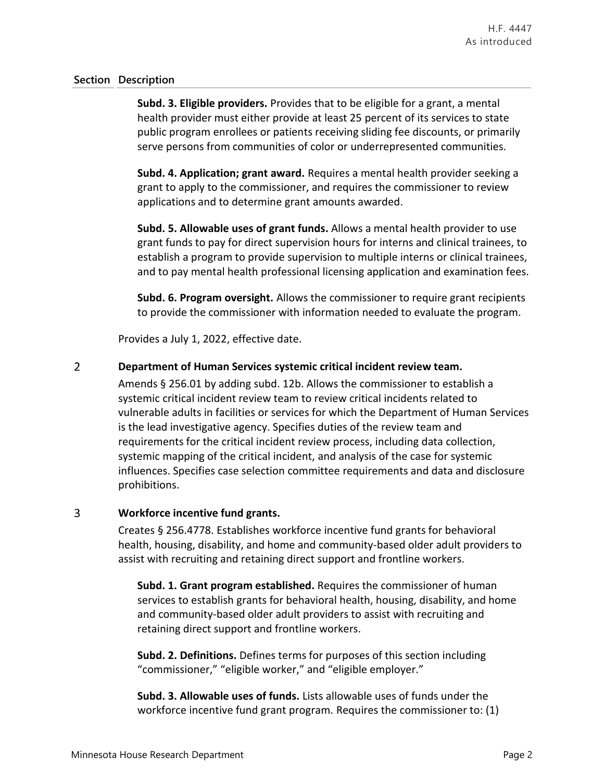**Subd. 3. Eligible providers.** Provides that to be eligible for a grant, a mental health provider must either provide at least 25 percent of its services to state public program enrollees or patients receiving sliding fee discounts, or primarily serve persons from communities of color or underrepresented communities.

**Subd. 4. Application; grant award.** Requires a mental health provider seeking a grant to apply to the commissioner, and requires the commissioner to review applications and to determine grant amounts awarded.

**Subd. 5. Allowable uses of grant funds.** Allows a mental health provider to use grant funds to pay for direct supervision hours for interns and clinical trainees, to establish a program to provide supervision to multiple interns or clinical trainees, and to pay mental health professional licensing application and examination fees.

**Subd. 6. Program oversight.** Allows the commissioner to require grant recipients to provide the commissioner with information needed to evaluate the program.

Provides a July 1, 2022, effective date.

#### $\overline{2}$ **Department of Human Services systemic critical incident review team.**

Amends § 256.01 by adding subd. 12b. Allows the commissioner to establish a systemic critical incident review team to review critical incidents related to vulnerable adults in facilities or services for which the Department of Human Services is the lead investigative agency. Specifies duties of the review team and requirements for the critical incident review process, including data collection, systemic mapping of the critical incident, and analysis of the case for systemic influences. Specifies case selection committee requirements and data and disclosure prohibitions.

#### 3 **Workforce incentive fund grants.**

Creates § 256.4778. Establishes workforce incentive fund grants for behavioral health, housing, disability, and home and community-based older adult providers to assist with recruiting and retaining direct support and frontline workers.

**Subd. 1. Grant program established.** Requires the commissioner of human services to establish grants for behavioral health, housing, disability, and home and community-based older adult providers to assist with recruiting and retaining direct support and frontline workers.

**Subd. 2. Definitions.** Defines terms for purposes of this section including "commissioner," "eligible worker," and "eligible employer."

**Subd. 3. Allowable uses of funds.** Lists allowable uses of funds under the workforce incentive fund grant program. Requires the commissioner to: (1)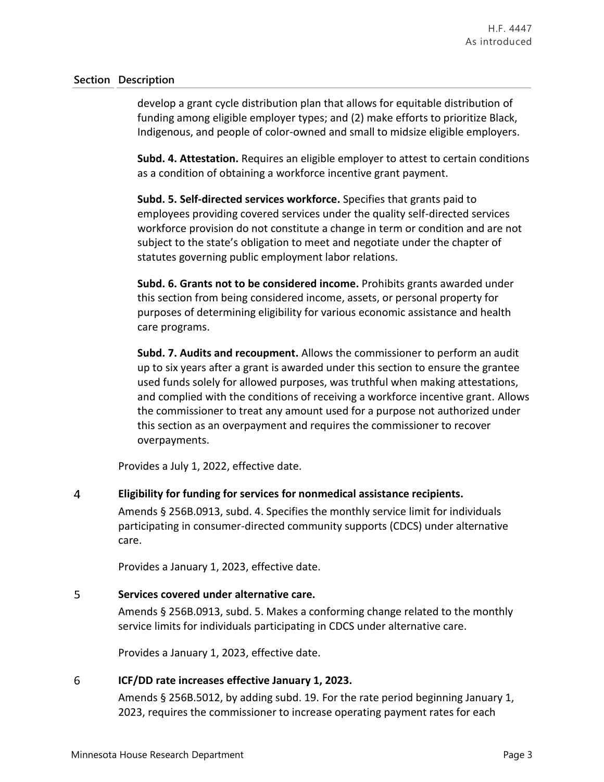develop a grant cycle distribution plan that allows for equitable distribution of funding among eligible employer types; and (2) make efforts to prioritize Black, Indigenous, and people of color-owned and small to midsize eligible employers.

**Subd. 4. Attestation.** Requires an eligible employer to attest to certain conditions as a condition of obtaining a workforce incentive grant payment.

**Subd. 5. Self-directed services workforce.** Specifies that grants paid to employees providing covered services under the quality self-directed services workforce provision do not constitute a change in term or condition and are not subject to the state's obligation to meet and negotiate under the chapter of statutes governing public employment labor relations.

**Subd. 6. Grants not to be considered income.** Prohibits grants awarded under this section from being considered income, assets, or personal property for purposes of determining eligibility for various economic assistance and health care programs.

**Subd. 7. Audits and recoupment.** Allows the commissioner to perform an audit up to six years after a grant is awarded under this section to ensure the grantee used funds solely for allowed purposes, was truthful when making attestations, and complied with the conditions of receiving a workforce incentive grant. Allows the commissioner to treat any amount used for a purpose not authorized under this section as an overpayment and requires the commissioner to recover overpayments.

Provides a July 1, 2022, effective date.

#### $\overline{4}$ **Eligibility for funding for services for nonmedical assistance recipients.**

Amends § 256B.0913, subd. 4. Specifies the monthly service limit for individuals participating in consumer-directed community supports (CDCS) under alternative care.

Provides a January 1, 2023, effective date.

#### 5 **Services covered under alternative care.**

Amends § 256B.0913, subd. 5. Makes a conforming change related to the monthly service limits for individuals participating in CDCS under alternative care.

Provides a January 1, 2023, effective date.

#### 6 **ICF/DD rate increases effective January 1, 2023.**

Amends § 256B.5012, by adding subd. 19. For the rate period beginning January 1, 2023, requires the commissioner to increase operating payment rates for each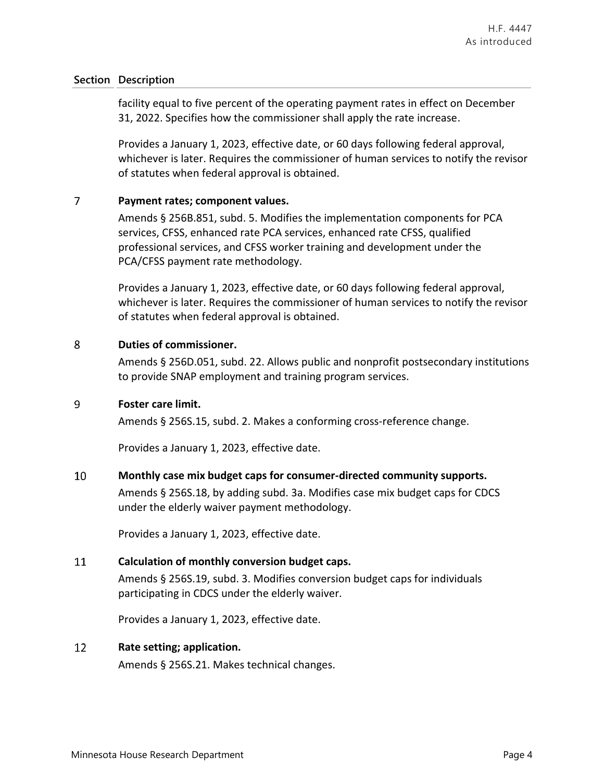facility equal to five percent of the operating payment rates in effect on December 31, 2022. Specifies how the commissioner shall apply the rate increase.

Provides a January 1, 2023, effective date, or 60 days following federal approval, whichever is later. Requires the commissioner of human services to notify the revisor of statutes when federal approval is obtained.

#### $\overline{7}$ **Payment rates; component values.**

Amends § 256B.851, subd. 5. Modifies the implementation components for PCA services, CFSS, enhanced rate PCA services, enhanced rate CFSS, qualified professional services, and CFSS worker training and development under the PCA/CFSS payment rate methodology.

Provides a January 1, 2023, effective date, or 60 days following federal approval, whichever is later. Requires the commissioner of human services to notify the revisor of statutes when federal approval is obtained.

#### $\overline{8}$ **Duties of commissioner.**

Amends § 256D.051, subd. 22. Allows public and nonprofit postsecondary institutions to provide SNAP employment and training program services.

#### 9 **Foster care limit.**

Amends § 256S.15, subd. 2. Makes a conforming cross-reference change.

Provides a January 1, 2023, effective date.

#### 10 **Monthly case mix budget caps for consumer-directed community supports.**

Amends § 256S.18, by adding subd. 3a. Modifies case mix budget caps for CDCS under the elderly waiver payment methodology.

Provides a January 1, 2023, effective date.

#### 11 **Calculation of monthly conversion budget caps.**

Amends § 256S.19, subd. 3. Modifies conversion budget caps for individuals participating in CDCS under the elderly waiver.

Provides a January 1, 2023, effective date.

#### 12 **Rate setting; application.**

Amends § 256S.21. Makes technical changes.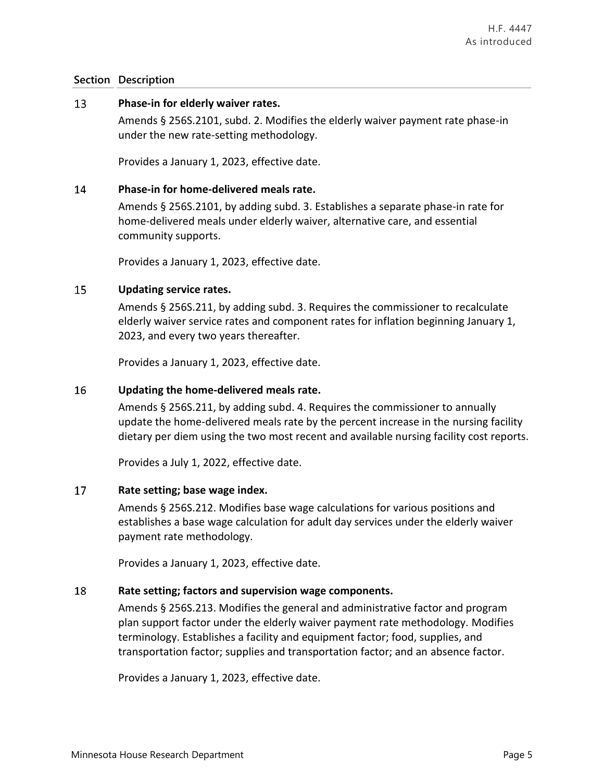#### 13 **Phase-in for elderly waiver rates.**

Amends § 256S.2101, subd. 2. Modifies the elderly waiver payment rate phase-in under the new rate-setting methodology.

Provides a January 1, 2023, effective date.

#### 14 **Phase-in for home-delivered meals rate.**

Amends § 256S.2101, by adding subd. 3. Establishes a separate phase-in rate for home-delivered meals under elderly waiver, alternative care, and essential community supports.

Provides a January 1, 2023, effective date.

#### 15 **Updating service rates.**

Amends § 256S.211, by adding subd. 3. Requires the commissioner to recalculate elderly waiver service rates and component rates for inflation beginning January 1, 2023, and every two years thereafter.

Provides a January 1, 2023, effective date.

#### 16 **Updating the home-delivered meals rate.**

Amends § 256S.211, by adding subd. 4. Requires the commissioner to annually update the home-delivered meals rate by the percent increase in the nursing facility dietary per diem using the two most recent and available nursing facility cost reports.

Provides a July 1, 2022, effective date.

#### 17 **Rate setting; base wage index.**

Amends § 256S.212. Modifies base wage calculations for various positions and establishes a base wage calculation for adult day services under the elderly waiver payment rate methodology.

Provides a January 1, 2023, effective date.

#### 18 **Rate setting; factors and supervision wage components.**

Amends § 256S.213. Modifies the general and administrative factor and program plan support factor under the elderly waiver payment rate methodology. Modifies terminology. Establishes a facility and equipment factor; food, supplies, and transportation factor; supplies and transportation factor; and an absence factor.

Provides a January 1, 2023, effective date.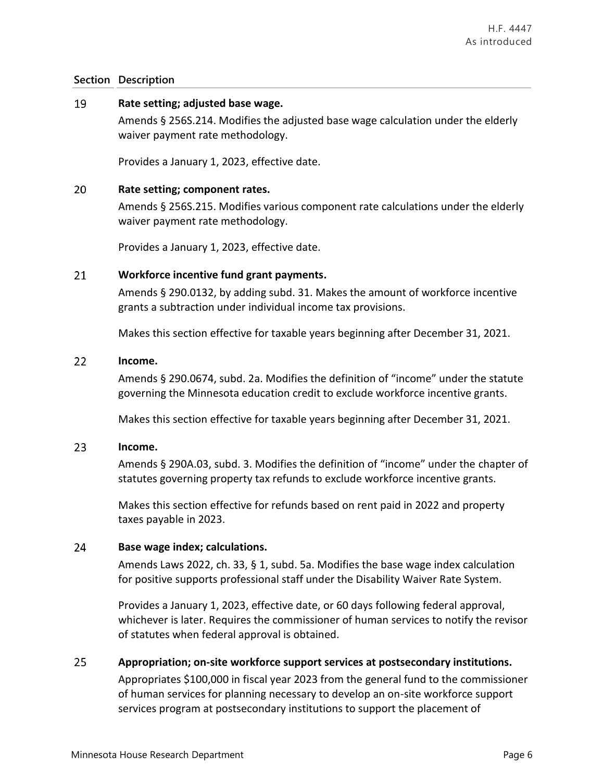#### 19 **Rate setting; adjusted base wage.**

Amends § 256S.214. Modifies the adjusted base wage calculation under the elderly waiver payment rate methodology.

Provides a January 1, 2023, effective date.

#### 20 **Rate setting; component rates.**

Amends § 256S.215. Modifies various component rate calculations under the elderly waiver payment rate methodology.

Provides a January 1, 2023, effective date.

#### 21 **Workforce incentive fund grant payments.**

Amends § 290.0132, by adding subd. 31. Makes the amount of workforce incentive grants a subtraction under individual income tax provisions.

Makes this section effective for taxable years beginning after December 31, 2021.

#### $22$ **Income.**

Amends § 290.0674, subd. 2a. Modifies the definition of "income" under the statute governing the Minnesota education credit to exclude workforce incentive grants.

Makes this section effective for taxable years beginning after December 31, 2021.

#### 23 **Income.**

Amends § 290A.03, subd. 3. Modifies the definition of "income" under the chapter of statutes governing property tax refunds to exclude workforce incentive grants.

Makes this section effective for refunds based on rent paid in 2022 and property taxes payable in 2023.

#### 24 **Base wage index; calculations.**

Amends Laws 2022, ch. 33, § 1, subd. 5a. Modifies the base wage index calculation for positive supports professional staff under the Disability Waiver Rate System.

Provides a January 1, 2023, effective date, or 60 days following federal approval, whichever is later. Requires the commissioner of human services to notify the revisor of statutes when federal approval is obtained.

#### 25 **Appropriation; on-site workforce support services at postsecondary institutions.**

Appropriates \$100,000 in fiscal year 2023 from the general fund to the commissioner of human services for planning necessary to develop an on-site workforce support services program at postsecondary institutions to support the placement of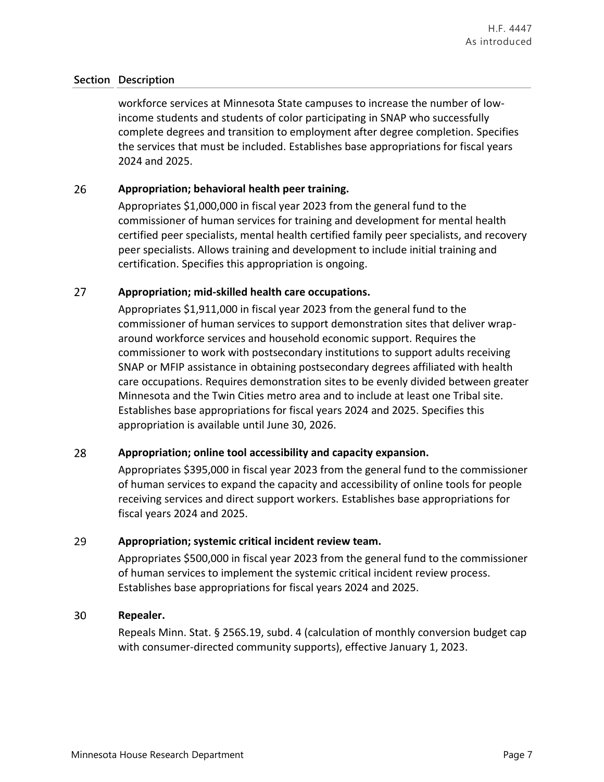workforce services at Minnesota State campuses to increase the number of lowincome students and students of color participating in SNAP who successfully complete degrees and transition to employment after degree completion. Specifies the services that must be included. Establishes base appropriations for fiscal years 2024 and 2025.

#### 26 **Appropriation; behavioral health peer training.**

Appropriates \$1,000,000 in fiscal year 2023 from the general fund to the commissioner of human services for training and development for mental health certified peer specialists, mental health certified family peer specialists, and recovery peer specialists. Allows training and development to include initial training and certification. Specifies this appropriation is ongoing.

#### 27 **Appropriation; mid-skilled health care occupations.**

Appropriates \$1,911,000 in fiscal year 2023 from the general fund to the commissioner of human services to support demonstration sites that deliver wraparound workforce services and household economic support. Requires the commissioner to work with postsecondary institutions to support adults receiving SNAP or MFIP assistance in obtaining postsecondary degrees affiliated with health care occupations. Requires demonstration sites to be evenly divided between greater Minnesota and the Twin Cities metro area and to include at least one Tribal site. Establishes base appropriations for fiscal years 2024 and 2025. Specifies this appropriation is available until June 30, 2026.

#### 28 **Appropriation; online tool accessibility and capacity expansion.**

Appropriates \$395,000 in fiscal year 2023 from the general fund to the commissioner of human services to expand the capacity and accessibility of online tools for people receiving services and direct support workers. Establishes base appropriations for fiscal years 2024 and 2025.

#### 29 **Appropriation; systemic critical incident review team.**

Appropriates \$500,000 in fiscal year 2023 from the general fund to the commissioner of human services to implement the systemic critical incident review process. Establishes base appropriations for fiscal years 2024 and 2025.

#### 30 **Repealer.**

Repeals Minn. Stat. § 256S.19, subd. 4 (calculation of monthly conversion budget cap with consumer-directed community supports), effective January 1, 2023.